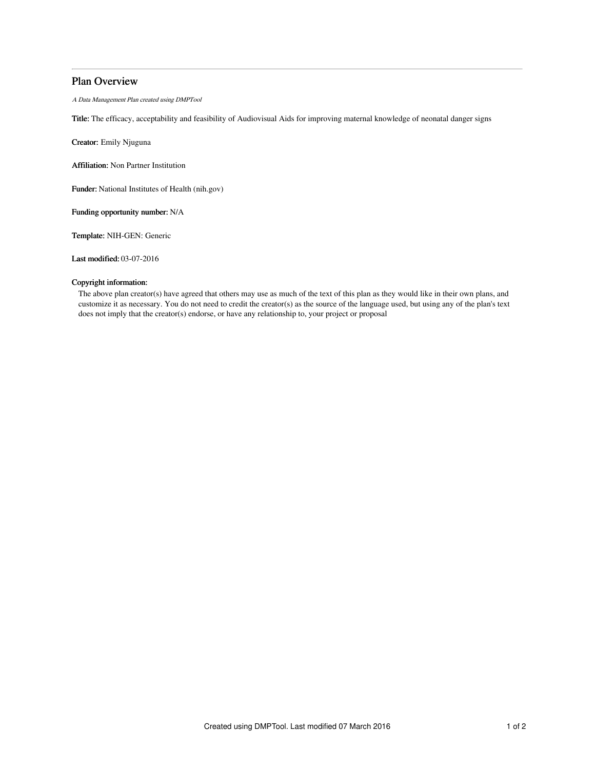## Plan Overview

A Data Management Plan created using DMPTool

Title: The efficacy, acceptability and feasibility of Audiovisual Aids for improving maternal knowledge of neonatal danger signs

Creator: Emily Njuguna

Affiliation: Non Partner Institution

Funder: National Institutes of Health (nih.gov)

Funding opportunity number: N/A

Template: NIH-GEN: Generic

Last modified: 03-07-2016

## Copyright information:

The above plan creator(s) have agreed that others may use as much of the text of this plan as they would like in their own plans, and customize it as necessary. You do not need to credit the creator(s) as the source of the language used, but using any of the plan's text does not imply that the creator(s) endorse, or have any relationship to, your project or proposal